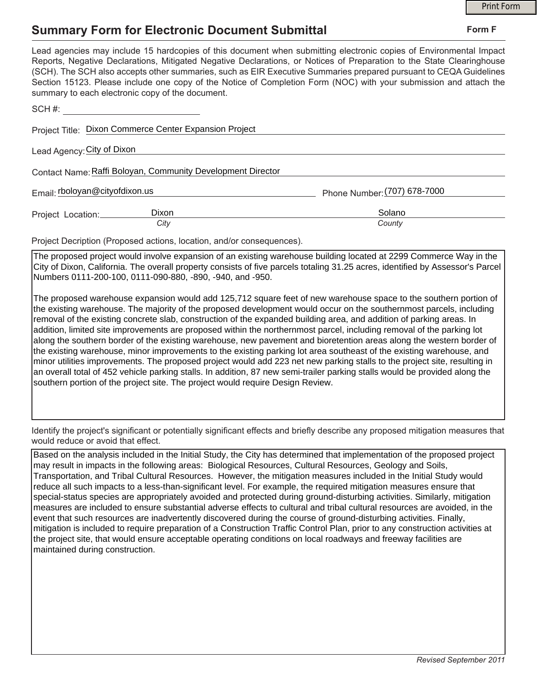## **Summary Form for Electronic Document Submittal**

|                                                                                                                                                                                                                                                                                                                                                                                                                                                                                                                                           |                              | <b>Print Form</b> |
|-------------------------------------------------------------------------------------------------------------------------------------------------------------------------------------------------------------------------------------------------------------------------------------------------------------------------------------------------------------------------------------------------------------------------------------------------------------------------------------------------------------------------------------------|------------------------------|-------------------|
| <b>Summary Form for Electronic Document Submittal</b>                                                                                                                                                                                                                                                                                                                                                                                                                                                                                     |                              | Form F            |
| Lead agencies may include 15 hardcopies of this document when submitting electronic copies of Environmental Impact<br>Reports, Negative Declarations, Mitigated Negative Declarations, or Notices of Preparation to the State Clearinghouse<br>(SCH). The SCH also accepts other summaries, such as EIR Executive Summaries prepared pursuant to CEQA Guidelines<br>Section 15123. Please include one copy of the Notice of Completion Form (NOC) with your submission and attach the<br>summary to each electronic copy of the document. |                              |                   |
| $SCH \#E$                                                                                                                                                                                                                                                                                                                                                                                                                                                                                                                                 |                              |                   |
| Project Title: Dixon Commerce Center Expansion Project                                                                                                                                                                                                                                                                                                                                                                                                                                                                                    |                              |                   |
| Lead Agency: City of Dixon                                                                                                                                                                                                                                                                                                                                                                                                                                                                                                                |                              |                   |
| Contact Name: Raffi Boloyan, Community Development Director                                                                                                                                                                                                                                                                                                                                                                                                                                                                               |                              |                   |
| Email: rboloyan@cityofdixon.us                                                                                                                                                                                                                                                                                                                                                                                                                                                                                                            | Phone Number: (707) 678-7000 |                   |
| Dixon<br>Project Location:<br>City                                                                                                                                                                                                                                                                                                                                                                                                                                                                                                        | Solano<br>County             |                   |
| Project Decription (Proposed actions, location, and/or consequences).                                                                                                                                                                                                                                                                                                                                                                                                                                                                     |                              |                   |
| The proposed project would involve expansion of an existing warehouse building located at 2299 Commerce Way in the<br>City of Dixon, California. The overall property consists of five parcels totaling 31.25 acres, identified by Assessor's Parcel<br>Numbers 0111-200-100, 0111-090-880, -890, -940, and -950.                                                                                                                                                                                                                         |                              |                   |

The proposed warehouse expansion would add 125,712 square feet of new warehouse space to the southern portion of the existing warehouse. The majority of the proposed development would occur on the southernmost parcels, including removal of the existing concrete slab, construction of the expanded building area, and addition of parking areas. In addition, limited site improvements are proposed within the northernmost parcel, including removal of the parking lot along the southern border of the existing warehouse, new pavement and bioretention areas along the western border of the existing warehouse, minor improvements to the existing parking lot area southeast of the existing warehouse, and minor utilities improvements. The proposed project would add 223 net new parking stalls to the project site, resulting in an overall total of 452 vehicle parking stalls. In addition, 87 new semi-trailer parking stalls would be provided along the southern portion of the project site. The project would require Design Review.

Identify the project's significant or potentially significant effects and briefly describe any proposed mitigation measures that would reduce or avoid that effect.

Based on the analysis included in the Initial Study, the City has determined that implementation of the proposed project may result in impacts in the following areas: Biological Resources, Cultural Resources, Geology and Soils, Transportation, and Tribal Cultural Resources. However, the mitigation measures included in the Initial Study would reduce all such impacts to a less-than-significant level. For example, the required mitigation measures ensure that special-status species are appropriately avoided and protected during ground-disturbing activities. Similarly, mitigation measures are included to ensure substantial adverse effects to cultural and tribal cultural resources are avoided, in the event that such resources are inadvertently discovered during the course of ground-disturbing activities. Finally, mitigation is included to require preparation of a Construction Traffic Control Plan, prior to any construction activities at the project site, that would ensure acceptable operating conditions on local roadways and freeway facilities are maintained during construction.